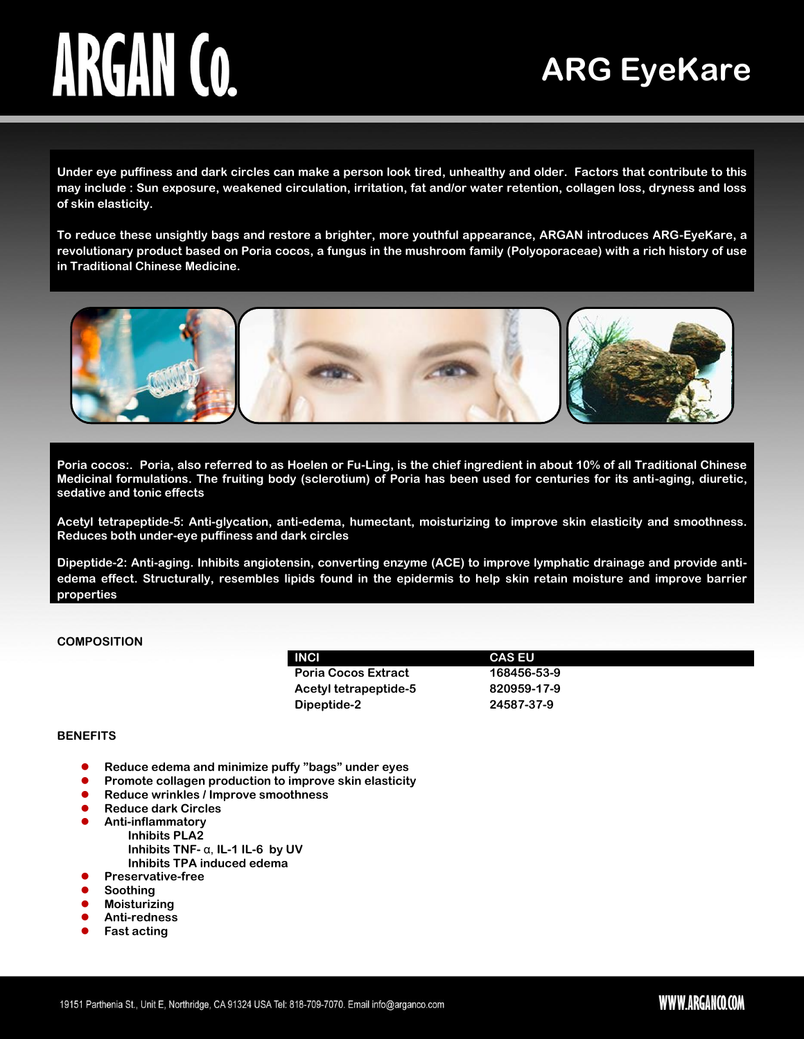# ARGAN CO.

## **ARG EyeKare**

**Under eye puffiness and dark circles can make a person look tired, unhealthy and older. Factors that contribute to this may include : Sun exposure, weakened circulation, irritation, fat and/or water retention, collagen loss, dryness and loss of skin elasticity.**

**To reduce these unsightly bags and restore a brighter, more youthful appearance, ARGAN introduces ARG-EyeKare, a revolutionary product based on Poria cocos, a fungus in the mushroom family (Polyoporaceae) with a rich history of use in Traditional Chinese Medicine.**



**Poria cocos:. Poria, also referred to as Hoelen or Fu-Ling, is the chief ingredient in about 10% of all Traditional Chinese Medicinal formulations. The fruiting body (sclerotium) of Poria has been used for centuries for its anti-aging, diuretic, sedative and tonic effects**

**Acetyl tetrapeptide-5: Anti-glycation, anti-edema, humectant, moisturizing to improve skin elasticity and smoothness. Reduces both under-eye puffiness and dark circles**

**Dipeptide-2: Anti-aging. Inhibits angiotensin, converting enzyme (ACE) to improve lymphatic drainage and provide antiedema effect. Structurally, resembles lipids found in the epidermis to help skin retain moisture and improve barrier properties**

#### **COMPOSITION**

| <b>INCI</b>                | <b>CAS EU</b> |
|----------------------------|---------------|
| <b>Poria Cocos Extract</b> | 168456-53-9   |
| Acetyl tetrapeptide-5      | 820959-17-9   |
| Dipeptide-2                | 24587-37-9    |

#### **BENEFITS**

- **Reduce edema and minimize puffy "bags" under eyes**
- **Promote collagen production to improve skin elasticity**
- **Reduce wrinkles / Improve smoothness**
- **Reduce dark Circles**<br>**Anti-inflammatory** 
	- **Anti-inflammatory Inhibits PLA2 Inhibits TNF-** α, **IL-1 IL-6 by UV Inhibits TPA induced edema**
- **Preservative-free**
- **Soothing**
- **Moisturizing**
- **Anti-redness**
- **Fast acting**